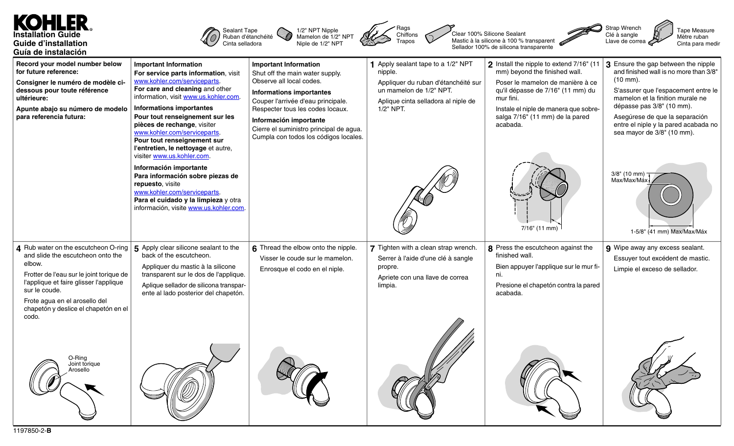## **Installation Guide Guide d'installation Guía de instalación**







Clear 100% Silicone Sealant Mastic à la silicone à 100 % transparent Sellador 100% de silicona transparente



Tape Measure Mètre ruban Cinta para medir

| Record your model number below<br>for future reference:<br>Consigner le numéro de modèle ci-<br>dessous pour toute référence<br>ultérieure:<br>Apunte abajo su número de modelo<br>para referencia futura:                                                                                                          | <b>Important Information</b><br>For service parts information, visit<br>www.kohler.com/serviceparts.<br>For care and cleaning and other<br>information, visit www.us.kohler.com.<br>Informations importantes<br>Pour tout renseignement sur les<br>pièces de rechange, visiter<br>www.kohler.com/serviceparts.<br>Pour tout renseignement sur<br>l'entretien, le nettoyage et autre,<br>visiter www.us.kohler.com.<br>Información importante<br>Para información sobre piezas de<br>repuesto, visite<br>www.kohler.com/serviceparts.<br>Para el cuidado y la limpieza y otra<br>información, visite www.us.kohler.com. | <b>Important Information</b><br>Shut off the main water supply.<br>Observe all local codes.<br><b>Informations importantes</b><br>Couper l'arrivée d'eau principale.<br>Respecter tous les codes locaux.<br>Información importante<br>Cierre el suministro principal de agua.<br>Cumpla con todos los códigos locales. | 1 Apply sealant tape to a 1/2" NPT<br>nipple.<br>Appliquer du ruban d'étanchéité sur<br>un mamelon de 1/2" NPT.<br>Aplique cinta selladora al niple de<br>1/2" NPT. | 2 Install the nipple to extend 7/16" (11<br>mm) beyond the finished wall.<br>Poser le mamelon de manière à ce<br>qu'il dépasse de 7/16" (11 mm) du<br>mur fini.<br>Instale el niple de manera que sobre-<br>salga 7/16" (11 mm) de la pared<br>acabada.<br>$7/16$ " (11 mm) | $\mid$ 3 Ensure the gap between the nipple<br>and finished wall is no more than 3/8"<br>$(10 \, \text{mm})$ .<br>S'assurer que l'espacement entre le<br>mamelon et la finition murale ne<br>dépasse pas 3/8" (10 mm).<br>Asegúrese de que la separación<br>entre el niple y la pared acabada no<br>sea mayor de 3/8" (10 mm).<br>3/8" (10 mm) $\top$<br>MaxMax/Max<br>1-5/8" (41 mm) Max/Max/Máx |
|---------------------------------------------------------------------------------------------------------------------------------------------------------------------------------------------------------------------------------------------------------------------------------------------------------------------|------------------------------------------------------------------------------------------------------------------------------------------------------------------------------------------------------------------------------------------------------------------------------------------------------------------------------------------------------------------------------------------------------------------------------------------------------------------------------------------------------------------------------------------------------------------------------------------------------------------------|------------------------------------------------------------------------------------------------------------------------------------------------------------------------------------------------------------------------------------------------------------------------------------------------------------------------|---------------------------------------------------------------------------------------------------------------------------------------------------------------------|-----------------------------------------------------------------------------------------------------------------------------------------------------------------------------------------------------------------------------------------------------------------------------|--------------------------------------------------------------------------------------------------------------------------------------------------------------------------------------------------------------------------------------------------------------------------------------------------------------------------------------------------------------------------------------------------|
| 4 Rub water on the escutcheon O-ring<br>and slide the escutcheon onto the<br>elbow.<br>Frotter de l'eau sur le joint torique de<br>l'applique et faire glisser l'applique<br>sur le coude.<br>Frote agua en el arosello del<br>chapetón y deslice el chapetón en el<br>codo.<br>O-Ring<br>Joint torique<br>Arosello | $\vert$ 5 Apply clear silicone sealant to the<br>back of the escutcheon.<br>Appliquer du mastic à la silicone<br>transparent sur le dos de l'applique.<br>Aplique sellador de silicona transpar-<br>ente al lado posterior del chapetón.                                                                                                                                                                                                                                                                                                                                                                               | 6 Thread the elbow onto the nipple.<br>Visser le coude sur le mamelon.<br>Enrosque el codo en el niple.                                                                                                                                                                                                                | 7 Tighten with a clean strap wrench.<br>Serrer à l'aide d'une clé à sangle<br>propre.<br>Apriete con una llave de correa<br>limpia.                                 | 8 Press the escutcheon against the<br>finished wall.<br>Bien appuyer l'applique sur le mur fi-<br>ni.<br>Presione el chapetón contra la pared<br>acabada.                                                                                                                   | 9 Wipe away any excess sealant.<br>Essuyer tout excédent de mastic.<br>Limpie el exceso de sellador.                                                                                                                                                                                                                                                                                             |